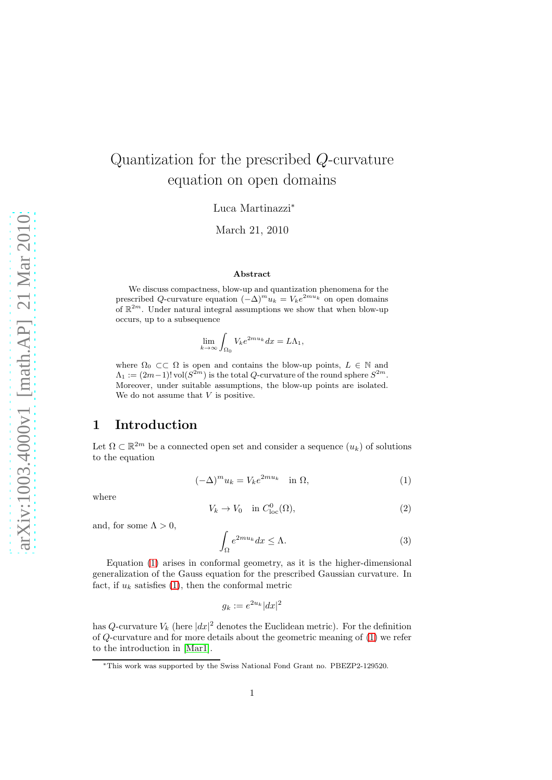# Quantization for the prescribed Q-curvature equation on open domains

Luca Martinazzi<sup>∗</sup>

March 21, 2010

#### Abstract

We discuss compactness, blow-up and quantization phenomena for the prescribed Q-curvature equation  $(-\Delta)^m u_k = V_k e^{2mu_k}$  on open domains of  $\mathbb{R}^{2m}$ . Under natural integral assumptions we show that when blow-up occurs, up to a subsequence

$$
\lim_{k \to \infty} \int_{\Omega_0} V_k e^{2mu_k} dx = L\Lambda_1,
$$

where  $\Omega_0 \subset\subset \Omega$  is open and contains the blow-up points,  $L \in \mathbb{N}$  and  $\Lambda_1 := (2m-1)! \operatorname{vol} (S^{2m})$  is the total Q-curvature of the round sphere  $S^{2m}$ . Moreover, under suitable assumptions, the blow-up points are isolated. We do not assume that  $V$  is positive.

# 1 Introduction

Let  $\Omega \subset \mathbb{R}^{2m}$  be a connected open set and consider a sequence  $(u_k)$  of solutions to the equation

<span id="page-0-0"></span>
$$
(-\Delta)^m u_k = V_k e^{2mu_k} \quad \text{in } \Omega,\tag{1}
$$

where

<span id="page-0-2"></span>
$$
V_k \to V_0 \quad \text{in } C^0_{\text{loc}}(\Omega), \tag{2}
$$

and, for some  $\Lambda > 0$ ,

<span id="page-0-1"></span>
$$
\int_{\Omega} e^{2mu_k} dx \le \Lambda. \tag{3}
$$

Equation [\(1\)](#page-0-0) arises in conformal geometry, as it is the higher-dimensional generalization of the Gauss equation for the prescribed Gaussian curvature. In fact, if  $u_k$  satisfies [\(1\)](#page-0-0), then the conformal metric

$$
g_k := e^{2u_k} |dx|^2
$$

has Q-curvature  $V_k$  (here  $|dx|^2$  denotes the Euclidean metric). For the definition of Q-curvature and for more details about the geometric meaning of [\(1\)](#page-0-0) we refer to the introduction in [\[Mar1\]](#page-17-0).

<sup>∗</sup>This work was supported by the Swiss National Fond Grant no. PBEZP2-129520.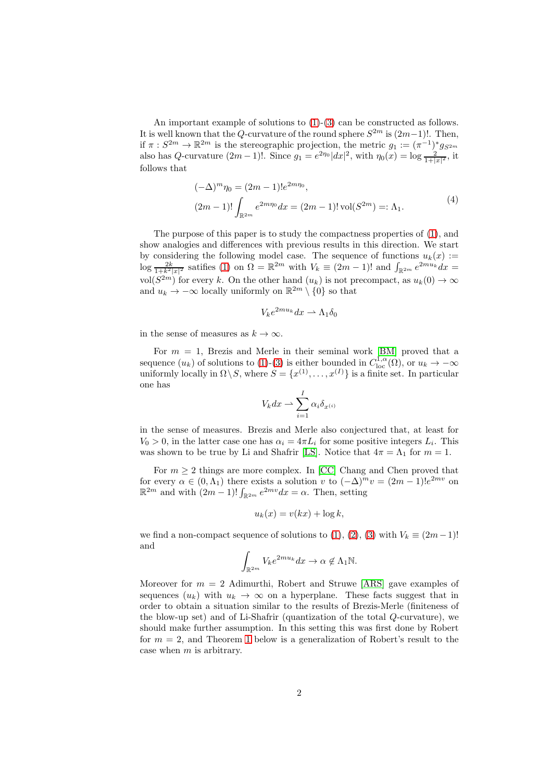An important example of solutions to  $(1)-(3)$  $(1)-(3)$  can be constructed as follows. It is well known that the Q-curvature of the round sphere  $S^{2m}$  is  $(2m-1)!$ . Then, if  $\pi : S^{2m} \to \mathbb{R}^{2m}$  is the stereographic projection, the metric  $g_1 := (\pi^{-1})^* g_{S^{2m}}$ also has Q-curvature  $(2m-1)!$ . Since  $g_1 = e^{2\eta_0} |dx|^2$ , with  $\eta_0(x) = \log \frac{2}{1+|x|^2}$ , it follows that

$$
(-\Delta)^{m} \eta_0 = (2m - 1)! e^{2m\eta_0},
$$
  
\n
$$
(2m - 1)! \int_{\mathbb{R}^{2m}} e^{2m\eta_0} dx = (2m - 1)! \operatorname{vol}(S^{2m}) =: \Lambda_1.
$$
\n(4)

<span id="page-1-1"></span>The purpose of this paper is to study the compactness properties of [\(1\)](#page-0-0), and show analogies and differences with previous results in this direction. We start by considering the following model case. The sequence of functions  $u_k(x) :=$  $\log \frac{2k}{1+k^2|x|^2}$  satifies [\(1\)](#page-0-0) on  $\Omega = \mathbb{R}^{2m}$  with  $V_k \equiv (2m-1)!$  and  $\int_{\mathbb{R}^{2m}} e^{2mu_k} dx =$ vol $(S^{2m})$  for every k. On the other hand  $(u_k)$  is not precompact, as  $u_k(0) \to \infty$ and  $u_k \to -\infty$  locally uniformly on  $\mathbb{R}^{2m} \setminus \{0\}$  so that

$$
V_k e^{2mu_k} dx \rightharpoonup \Lambda_1 \delta_0
$$

in the sense of measures as  $k \to \infty$ .

For  $m = 1$ , Brezis and Merle in their seminal work [\[BM\]](#page-16-0) proved that a sequence  $(u_k)$  of solutions to [\(1\)](#page-0-0)-[\(3\)](#page-0-1) is either bounded in  $C^{1,\alpha}_{loc}(\Omega)$ , or  $u_k \to -\infty$ uniformly locally in  $\Omega \backslash S$ , where  $S = \{x^{(1)}, \ldots, x^{(I)}\}$  is a finite set. In particular one has

$$
V_k dx \rightharpoonup \sum_{i=1}^I \alpha_i \delta_{x^{(i)}}
$$

in the sense of measures. Brezis and Merle also conjectured that, at least for  $V_0 > 0$ , in the latter case one has  $\alpha_i = 4\pi L_i$  for some positive integers  $L_i$ . This was shown to be true by Li and Shafrir [\[LS\]](#page-16-1). Notice that  $4\pi = \Lambda_1$  for  $m = 1$ .

For  $m \geq 2$  things are more complex. In [\[CC\]](#page-16-2) Chang and Chen proved that for every  $\alpha \in (0, \Lambda_1)$  there exists a solution v to  $(-\Delta)^m v = (2m-1)!e^{2mv}$  on  $\mathbb{R}^{2m}$  and with  $(2m-1)! \int_{\mathbb{R}^{2m}} e^{2mv} dx = \alpha$ . Then, setting

$$
u_k(x) = v(kx) + \log k,
$$

we find a non-compact sequence of solutions to [\(1\)](#page-0-0), [\(2\)](#page-0-2), [\(3\)](#page-0-1) with  $V_k \equiv (2m-1)!$ and

$$
\int_{\mathbb{R}^{2m}} V_k e^{2mu_k} dx \to \alpha \notin \Lambda_1 \mathbb{N}.
$$

<span id="page-1-0"></span>Moreover for  $m = 2$  Adimurthi, Robert and Struwe [\[ARS\]](#page-16-3) gave examples of sequences  $(u_k)$  with  $u_k \to \infty$  on a hyperplane. These facts suggest that in order to obtain a situation similar to the results of Brezis-Merle (finiteness of the blow-up set) and of Li-Shafrir (quantization of the total Q-curvature), we should make further assumption. In this setting this was first done by Robert for  $m = 2$ , and Theorem [1](#page-1-0) below is a generalization of Robert's result to the case when  $m$  is arbitrary.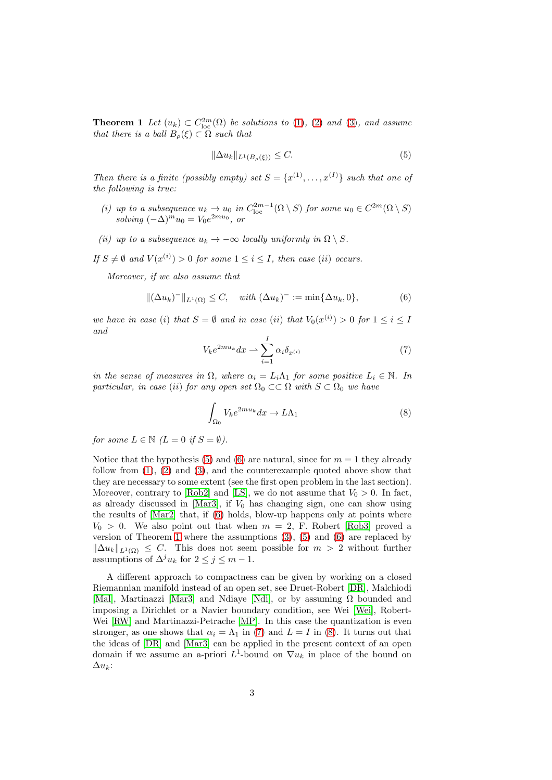**Theorem 1** Let  $(u_k) \subset C^{2m}_{loc}(\Omega)$  be solutions to [\(1\)](#page-0-0), [\(2\)](#page-0-2) and [\(3\)](#page-0-1), and assume that there is a ball  $B_{\rho}(\xi) \subset \Omega$  such that

<span id="page-2-0"></span>
$$
\|\Delta u_k\|_{L^1(B_\rho(\xi))} \le C. \tag{5}
$$

Then there is a finite (possibly empty) set  $S = \{x^{(1)}, \ldots, x^{(I)}\}$  such that one of the following is true:

- (i) up to a subsequence  $u_k \to u_0$  in  $C_{\text{loc}}^{2m-1}(\Omega \setminus S)$  for some  $u_0 \in C^{2m}(\Omega \setminus S)$ solving  $(-\Delta)^m u_0 = V_0 e^{2mu_0}$ , or
- (ii) up to a subsequence  $u_k \to -\infty$  locally uniformly in  $\Omega \setminus S$ .
- If  $S \neq \emptyset$  and  $V(x^{(i)}) > 0$  for some  $1 \leq i \leq I$ , then case (ii) occurs.

Moreover, if we also assume that

<span id="page-2-1"></span>
$$
\|(\Delta u_k)^-\|_{L^1(\Omega)} \le C, \quad \text{with } (\Delta u_k)^- := \min\{\Delta u_k, 0\},\tag{6}
$$

we have in case (i) that  $S = \emptyset$  and in case (ii) that  $V_0(x^{(i)}) > 0$  for  $1 \le i \le I$ and

<span id="page-2-2"></span>
$$
V_k e^{2mu_k} dx \rightharpoonup \sum_{i=1}^{I} \alpha_i \delta_{x^{(i)}} \tag{7}
$$

in the sense of measures in  $\Omega$ , where  $\alpha_i = L_i \Lambda_1$  for some positive  $L_i \in \mathbb{N}$ . In particular, in case (ii) for any open set  $\Omega_0 \subset\subset \Omega$  with  $S \subset \Omega_0$  we have

<span id="page-2-3"></span>
$$
\int_{\Omega_0} V_k e^{2mu_k} dx \to L\Lambda_1 \tag{8}
$$

for some  $L \in \mathbb{N}$   $(L = 0$  if  $S = \emptyset)$ .

Notice that the hypothesis [\(5\)](#page-2-0) and [\(6\)](#page-2-1) are natural, since for  $m = 1$  they already follow from  $(1)$ ,  $(2)$  and  $(3)$ , and the counterexample quoted above show that they are necessary to some extent (see the first open problem in the last section). Moreover, contrary to [\[Rob2\]](#page-17-1) and [\[LS\]](#page-16-1), we do not assume that  $V_0 > 0$ . In fact, as already discussed in [\[Mar3\]](#page-17-2), if  $V_0$  has changing sign, one can show using the results of [\[Mar2\]](#page-17-3) that, if [\(6\)](#page-2-1) holds, blow-up happens only at points where  $V_0 > 0$ . We also point out that when  $m = 2$ , F. Robert [\[Rob3\]](#page-17-4) proved a version of Theorem [1](#page-1-0) where the assumptions  $(3)$ ,  $(5)$  and  $(6)$  are replaced by  $\|\Delta u_k\|_{L^1(\Omega)} \leq C$ . This does not seem possible for  $m > 2$  without further assumptions of  $\Delta^j u_k$  for  $2 \leq j \leq m-1$ .

<span id="page-2-4"></span>A different approach to compactness can be given by working on a closed Riemannian manifold instead of an open set, see Druet-Robert [\[DR\]](#page-16-4), Malchiodi [\[Mal\]](#page-17-5), Martinazzi [\[Mar3\]](#page-17-2) and Ndiaye [\[Ndi\]](#page-17-6), or by assuming  $\Omega$  bounded and imposing a Dirichlet or a Navier boundary condition, see Wei [\[Wei\]](#page-17-7), Robert-Wei [\[RW\]](#page-17-8) and Martinazzi-Petrache [\[MP\]](#page-17-9). In this case the quantization is even stronger, as one shows that  $\alpha_i = \Lambda_1$  in [\(7\)](#page-2-2) and  $L = I$  in [\(8\)](#page-2-3). It turns out that the ideas of [\[DR\]](#page-16-4) and [\[Mar3\]](#page-17-2) can be applied in the present context of an open domain if we assume an a-priori  $L^1$ -bound on  $\nabla u_k$  in place of the bound on  $\Delta u_k$ :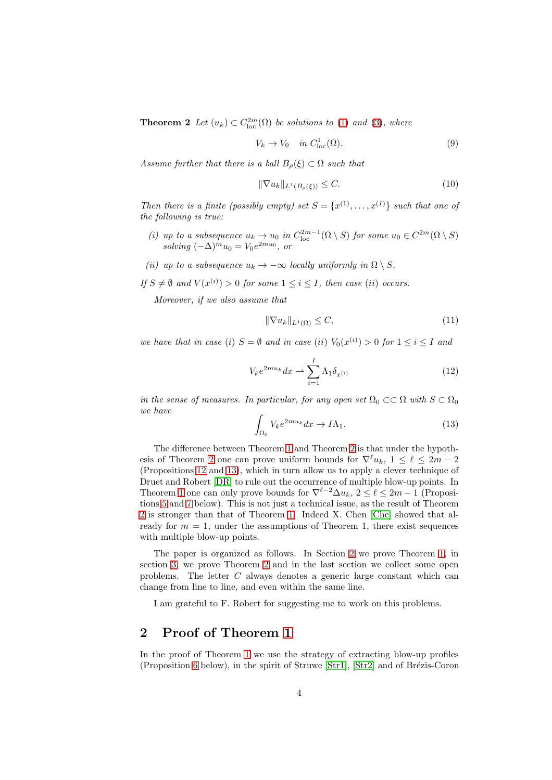**Theorem 2** Let  $(u_k) \subset C^{2m}_{loc}(\Omega)$  be solutions to [\(1\)](#page-0-0) and [\(3\)](#page-0-1), where

<span id="page-3-1"></span>
$$
V_k \to V_0 \quad in \ C^1_{loc}(\Omega). \tag{9}
$$

Assume further that there is a ball  $B<sub>o</sub>(\xi) \subset \Omega$  such that

<span id="page-3-2"></span>
$$
\|\nabla u_k\|_{L^1(B_\rho(\xi))} \le C. \tag{10}
$$

Then there is a finite (possibly empty) set  $S = \{x^{(1)}, \ldots, x^{(I)}\}$  such that one of the following is true:

- (i) up to a subsequence  $u_k \to u_0$  in  $C_{\text{loc}}^{2m-1}(\Omega \setminus S)$  for some  $u_0 \in C^{2m}(\Omega \setminus S)$ solving  $(-\Delta)^m u_0 = V_0 e^{2mu_0}$ , or
- (ii) up to a subsequence  $u_k \to -\infty$  locally uniformly in  $\Omega \setminus S$ .

If  $S \neq \emptyset$  and  $V(x^{(i)}) > 0$  for some  $1 \leq i \leq I$ , then case (ii) occurs.

Moreover, if we also assume that

<span id="page-3-3"></span>
$$
\|\nabla u_k\|_{L^1(\Omega)} \le C,\tag{11}
$$

we have that in case (i)  $S = \emptyset$  and in case (ii)  $V_0(x^{(i)}) > 0$  for  $1 \le i \le I$  and

$$
V_k e^{2mu_k} dx \rightharpoonup \sum_{i=1}^{I} \Lambda_1 \delta_{x^{(i)}} \tag{12}
$$

in the sense of measures. In particular, for any open set  $\Omega_0 \subset\subset \Omega$  with  $S \subset \Omega_0$ we have

$$
\int_{\Omega_0} V_k e^{2mu_k} dx \to I\Lambda_1. \tag{13}
$$

The difference between Theorem [1](#page-1-0) and Theorem [2](#page-2-4) is that under the hypoth-esis of Theorem [2](#page-2-4) one can prove uniform bounds for  $\nabla^{\ell} u_k$ ,  $1 \leq \ell \leq 2m-2$ (Propositions [12](#page-14-0) and [13\)](#page-15-0), which in turn allow us to apply a clever technique of Druet and Robert [\[DR\]](#page-16-4) to rule out the occurrence of multiple blow-up points. In Theorem [1](#page-1-0) one can only prove bounds for  $\nabla^{\ell-2}\Delta u_k$ ,  $2 \leq \ell \leq 2m-1$  (Propositions [5](#page-5-0) and [7](#page-7-0) below). This is not just a technical issue, as the result of Theorem [2](#page-2-4) is stronger than that of Theorem [1.](#page-1-0) Indeed X. Chen [\[Che\]](#page-16-5) showed that already for  $m = 1$ , under the assumptions of Theorem 1, there exist sequences with multiple blow-up points.

The paper is organized as follows. In Section [2](#page-3-0) we prove Theorem [1,](#page-1-0) in section [3,](#page-13-0) we prove Theorem [2](#page-2-4) and in the last section we collect some open problems. The letter C always denotes a generic large constant which can change from line to line, and even within the same line.

I am grateful to F. Robert for suggesting me to work on this problems.

### <span id="page-3-0"></span>2 Proof of Theorem [1](#page-1-0)

In the proof of Theorem [1](#page-1-0) we use the strategy of extracting blow-up profiles (Proposition [6](#page-6-0) below), in the spirit of Struwe  $[Str1]$ ,  $[Str2]$  and of Brézis-Coron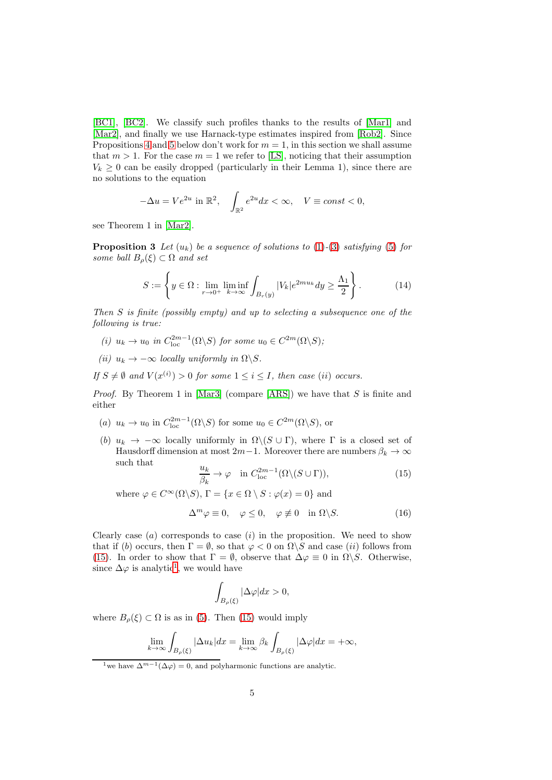[\[BC1\]](#page-16-6), [\[BC2\]](#page-16-7). We classify such profiles thanks to the results of [\[Mar1\]](#page-17-0) and [\[Mar2\]](#page-17-3), and finally we use Harnack-type estimates inspired from [\[Rob2\]](#page-17-1). Since Propositions [4](#page-5-1) and [5](#page-5-0) below don't work for  $m = 1$ , in this section we shall assume that  $m > 1$ . For the case  $m = 1$  we refer to [\[LS\]](#page-16-1), noticing that their assumption  $V_k \geq 0$  can be easily dropped (particularly in their Lemma 1), since there are no solutions to the equation

$$
-\Delta u = Ve^{2u} \text{ in } \mathbb{R}^2, \quad \int_{\mathbb{R}^2} e^{2u} dx < \infty, \quad V \equiv const < 0,
$$

<span id="page-4-3"></span>see Theorem 1 in [\[Mar2\]](#page-17-3).

**Proposition 3** Let  $(u_k)$  be a sequence of solutions to [\(1\)](#page-0-0)-[\(3\)](#page-0-1) satisfying [\(5\)](#page-2-0) for some ball  $B_{\rho}(\xi) \subset \Omega$  and set

<span id="page-4-4"></span>
$$
S := \left\{ y \in \Omega : \lim_{r \to 0^+} \liminf_{k \to \infty} \int_{B_r(y)} |V_k| e^{2mu_k} dy \ge \frac{\Lambda_1}{2} \right\}.
$$
 (14)

Then S is finite (possibly empty) and up to selecting a subsequence one of the following is true:

- (i)  $u_k \to u_0$  in  $C_{loc}^{2m-1}(\Omega \backslash S)$  for some  $u_0 \in C^{2m}(\Omega \backslash S)$ ;
- (ii)  $u_k \to -\infty$  locally uniformly in  $\Omega \backslash S$ .

If  $S \neq \emptyset$  and  $V(x^{(i)}) > 0$  for some  $1 \leq i \leq I$ , then case (ii) occurs.

*Proof.* By Theorem 1 in [\[Mar3\]](#page-17-2) (compare [\[ARS\]](#page-16-3)) we have that  $S$  is finite and either

- (a)  $u_k \to u_0$  in  $C_{loc}^{2m-1}(\Omega \backslash S)$  for some  $u_0 \in C^{2m}(\Omega \backslash S)$ , or
- (b)  $u_k \to -\infty$  locally uniformly in  $\Omega \setminus (S \cup \Gamma)$ , where  $\Gamma$  is a closed set of Hausdorff dimension at most 2m−1. Moreover there are numbers  $\beta_k \to \infty$ such that

<span id="page-4-0"></span>
$$
\frac{u_k}{\beta_k} \to \varphi \quad \text{in } C_{\text{loc}}^{2m-1}(\Omega \setminus (S \cup \Gamma)), \tag{15}
$$

where  $\varphi \in C^{\infty}(\Omega \backslash S)$ ,  $\Gamma = \{x \in \Omega \setminus S : \varphi(x) = 0\}$  and

<span id="page-4-2"></span>
$$
\Delta^m \varphi \equiv 0, \quad \varphi \le 0, \quad \varphi \not\equiv 0 \quad \text{in } \Omega \backslash S. \tag{16}
$$

Clearly case  $(a)$  corresponds to case  $(i)$  in the proposition. We need to show that if (b) occurs, then  $\Gamma = \emptyset$ , so that  $\varphi < 0$  on  $\Omega \backslash S$  and case (ii) follows from [\(15\)](#page-4-0). In order to show that  $\Gamma = \emptyset$ , observe that  $\Delta \varphi \equiv 0$  in  $\Omega \backslash S$ . Otherwise, since  $\Delta\varphi$  is analytic<sup>[1](#page-4-1)</sup>, we would have

$$
\int_{B_{\rho}(\xi)} |\Delta \varphi| dx > 0,
$$

where  $B_{\rho}(\xi) \subset \Omega$  is as in [\(5\)](#page-2-0). Then [\(15\)](#page-4-0) would imply

$$
\lim_{k \to \infty} \int_{B_{\rho}(\xi)} |\Delta u_k| dx = \lim_{k \to \infty} \beta_k \int_{B_{\rho}(\xi)} |\Delta \varphi| dx = +\infty,
$$

<span id="page-4-1"></span><sup>&</sup>lt;sup>1</sup>we have  $\Delta^{m-1}(\Delta \varphi) = 0$ , and polyharmonic functions are analytic.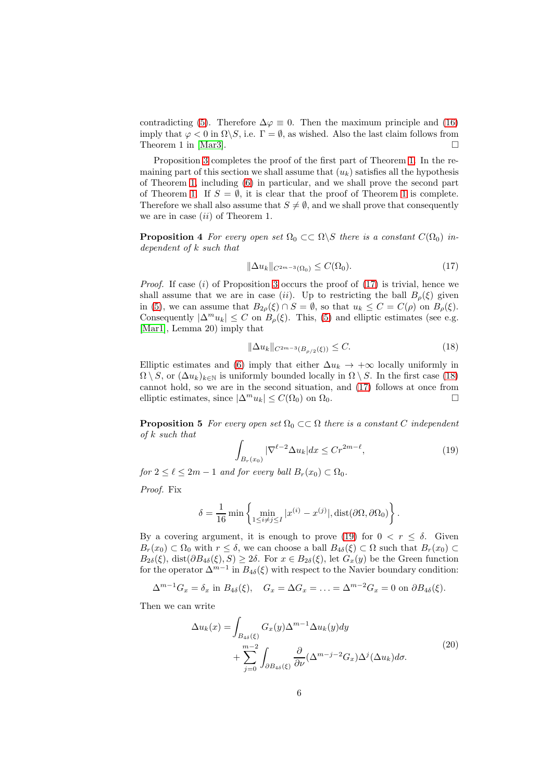contradicting [\(5\)](#page-2-0). Therefore  $\Delta \varphi \equiv 0$ . Then the maximum principle and [\(16\)](#page-4-2) imply that  $\varphi < 0$  in  $\Omega \backslash S$ , i.e.  $\Gamma = \emptyset$ , as wished. Also the last claim follows from Theorem 1 in [\[Mar3\]](#page-17-2).  $\Box$ 

Proposition [3](#page-4-3) completes the proof of the first part of Theorem [1.](#page-1-0) In the remaining part of this section we shall assume that  $(u_k)$  satisfies all the hypothesis of Theorem [1,](#page-1-0) including [\(6\)](#page-2-1) in particular, and we shall prove the second part of Theorem [1.](#page-1-0) If  $S = \emptyset$ , it is clear that the proof of Theorem [1](#page-1-0) is complete. Therefore we shall also assume that  $S \neq \emptyset$ , and we shall prove that consequently we are in case  $(ii)$  of Theorem 1.

<span id="page-5-1"></span>**Proposition 4** For every open set  $\Omega_0 \subset\subset \Omega \backslash S$  there is a constant  $C(\Omega_0)$  independent of k such that

<span id="page-5-2"></span>
$$
\|\Delta u_k\|_{C^{2m-3}(\Omega_0)} \le C(\Omega_0). \tag{17}
$$

*Proof.* If case (i) of Proposition [3](#page-4-3) occurs the proof of  $(17)$  is trivial, hence we shall assume that we are in case (ii). Up to restricting the ball  $B<sub>o</sub>(\xi)$  given in [\(5\)](#page-2-0), we can assume that  $B_{2\rho}(\xi) \cap S = \emptyset$ , so that  $u_k \leq C = C(\rho)$  on  $B_{\rho}(\xi)$ . Consequently  $|\Delta^m u_k| \leq C$  on  $B_\rho(\xi)$ . This, [\(5\)](#page-2-0) and elliptic estimates (see e.g. [\[Mar1\]](#page-17-0), Lemma 20) imply that

<span id="page-5-3"></span>
$$
\|\Delta u_k\|_{C^{2m-3}(B_{\rho/2}(\xi))} \le C. \tag{18}
$$

Elliptic estimates and [\(6\)](#page-2-1) imply that either  $\Delta u_k \rightarrow +\infty$  locally uniformly in  $\Omega \setminus S$ , or  $(\Delta u_k)_{k \in \mathbb{N}}$  is uniformly bounded locally in  $\Omega \setminus S$ . In the first case [\(18\)](#page-5-3) cannot hold, so we are in the second situation, and [\(17\)](#page-5-2) follows at once from elliptic estimates, since  $|\Delta^m u_k| \le C(\Omega_0)$  on  $\Omega_0$ .

<span id="page-5-0"></span>**Proposition 5** For every open set  $\Omega_0 \subset\subset \Omega$  there is a constant C independent of k such that

<span id="page-5-4"></span>
$$
\int_{B_r(x_0)} |\nabla^{\ell-2} \Delta u_k| dx \le Cr^{2m-\ell},\tag{19}
$$

for  $2 \leq \ell \leq 2m-1$  and for every ball  $B_r(x_0) \subset \Omega_0$ .

Proof. Fix

$$
\delta = \frac{1}{16} \min \left\{ \min_{1 \le i \ne j \le I} |x^{(i)} - x^{(j)}|, \text{dist}(\partial \Omega, \partial \Omega_0) \right\}.
$$

By a covering argument, it is enough to prove [\(19\)](#page-5-4) for  $0 < r \leq \delta$ . Given  $B_r(x_0) \subset \Omega_0$  with  $r \leq \delta$ , we can choose a ball  $B_{4\delta}(\xi) \subset \Omega$  such that  $B_r(x_0) \subset \Omega$  $B_{2\delta}(\xi)$ , dist $(\partial B_{4\delta}(\xi), S) \geq 2\delta$ . For  $x \in B_{2\delta}(\xi)$ , let  $G_x(y)$  be the Green function for the operator  $\Delta^{m-1}$  in  $B_{4\delta}(\xi)$  with respect to the Navier boundary condition:

$$
\Delta^{m-1}G_x = \delta_x \text{ in } B_{4\delta}(\xi), \quad G_x = \Delta G_x = \ldots = \Delta^{m-2}G_x = 0 \text{ on } \partial B_{4\delta}(\xi).
$$

<span id="page-5-5"></span>Then we can write

$$
\Delta u_k(x) = \int_{B_{4\delta}(\xi)} G_x(y) \Delta^{m-1} \Delta u_k(y) dy + \sum_{j=0}^{m-2} \int_{\partial B_{4\delta}(\xi)} \frac{\partial}{\partial \nu} (\Delta^{m-j-2} G_x) \Delta^j (\Delta u_k) d\sigma.
$$
\n(20)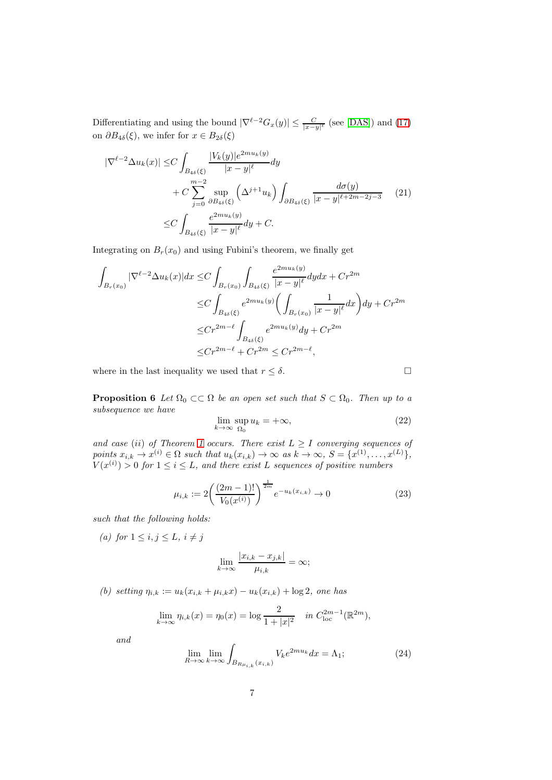Differentiating and using the bound  $|\nabla^{l-2}G_x(y)| \leq \frac{C}{|x-y|^l}$  (see [\[DAS\]](#page-16-8)) and [\(17\)](#page-5-2) on  $\partial B_{4\delta}(\xi)$ , we infer for  $x \in B_{2\delta}(\xi)$ 

$$
|\nabla^{\ell-2}\Delta u_k(x)| \le C \int_{B_{4\delta}(\xi)} \frac{|V_k(y)|e^{2mu_k(y)}}{|x-y|^{\ell}} dy
$$
  
+  $C \sum_{j=0}^{m-2} \sup_{\partial B_{4\delta}(\xi)} \left(\Delta^{j+1} u_k\right) \int_{\partial B_{4\delta}(\xi)} \frac{d\sigma(y)}{|x-y|^{\ell+2m-2j-3}} \qquad (21)$   

$$
\le C \int_{B_{4\delta}(\xi)} \frac{e^{2mu_k(y)}}{|x-y|^{\ell}} dy + C.
$$

Integrating on  $B_r(x_0)$  and using Fubini's theorem, we finally get

$$
\int_{B_r(x_0)} |\nabla^{\ell-2} \Delta u_k(x)| dx \le C \int_{B_r(x_0)} \int_{B_{4\delta}(\xi)} \frac{e^{2mu_k(y)}}{|x-y|^{\ell}} dy dx + Cr^{2m}
$$
  

$$
\le C \int_{B_{4\delta}(\xi)} e^{2mu_k(y)} \left( \int_{B_r(x_0)} \frac{1}{|x-y|^{\ell}} dx \right) dy + Cr^{2m}
$$
  

$$
\le Cr^{2m-\ell} \int_{B_{4\delta}(\xi)} e^{2mu_k(y)} dy + Cr^{2m}
$$
  

$$
\le Cr^{2m-\ell} + Cr^{2m} \le Cr^{2m-\ell},
$$

<span id="page-6-0"></span>where in the last inequality we used that  $r \leq \delta$ .

**Proposition 6** Let  $\Omega_0 \subset\subset \Omega$  be an open set such that  $S \subset \Omega_0$ . Then up to a subsequence we have

<span id="page-6-1"></span>
$$
\lim_{k \to \infty} \sup_{\Omega_0} u_k = +\infty, \tag{22}
$$

and case (ii) of Theorem [1](#page-1-0) occurs. There exist  $L \geq I$  converging sequences of points  $x_{i,k} \to x^{(i)} \in \Omega$  such that  $u_k(x_{i,k}) \to \infty$  as  $k \to \infty$ ,  $S = \{x^{(1)}, \ldots, x^{(L)}\},$  $V(x^{(i)}) > 0$  for  $1 \le i \le L$ , and there exist L sequences of positive numbers

$$
\mu_{i,k} := 2\left(\frac{(2m-1)!}{V_0(x^{(i)})}\right)^{\frac{1}{2m}} e^{-u_k(x_{i,k})} \to 0
$$
\n(23)

such that the following holds:

(a) for  $1 \leq i, j \leq L, i \neq j$ 

$$
\lim_{k \to \infty} \frac{|x_{i,k} - x_{j,k}|}{\mu_{i,k}} = \infty;
$$

(b) setting  $\eta_{i,k} := u_k(x_{i,k} + \mu_{i,k}x) - u_k(x_{i,k}) + \log 2$ , one has

$$
\lim_{k \to \infty} \eta_{i,k}(x) = \eta_0(x) = \log \frac{2}{1+|x|^2} \quad \text{in } C_{\text{loc}}^{2m-1}(\mathbb{R}^{2m}),
$$

and

<span id="page-6-2"></span>
$$
\lim_{R \to \infty} \lim_{k \to \infty} \int_{B_{R\mu_{i,k}}(x_{i,k})} V_k e^{2mu_k} dx = \Lambda_1; \tag{24}
$$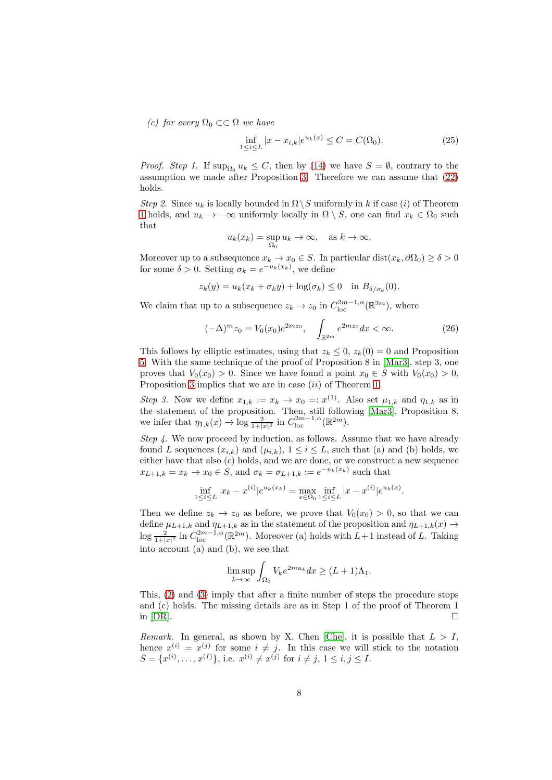(c) for every  $\Omega_0 \subset \subset \Omega$  we have

<span id="page-7-1"></span>
$$
\inf_{1 \le i \le L} |x - x_{i,k}| e^{u_k(x)} \le C = C(\Omega_0). \tag{25}
$$

*Proof.* Step 1. If  $\sup_{\Omega_0} u_k \leq C$ , then by [\(14\)](#page-4-4) we have  $S = \emptyset$ , contrary to the assumption we made after Proposition [3.](#page-4-3) Therefore we can assume that [\(22\)](#page-6-1) holds.

Step 2. Since  $u_k$  is locally bounded in  $\Omega \backslash S$  uniformly in k if case (i) of Theorem [1](#page-1-0) holds, and  $u_k \to -\infty$  uniformly locally in  $\Omega \setminus S$ , one can find  $x_k \in \Omega_0$  such that

$$
u_k(x_k) = \sup_{\Omega_0} u_k \to \infty, \quad \text{as } k \to \infty.
$$

Moreover up to a subsequence  $x_k \to x_0 \in S$ . In particular dist $(x_k, \partial \Omega_0) \ge \delta > 0$ for some  $\delta > 0$ . Setting  $\sigma_k = e^{-u_k(x_k)}$ , we define

$$
z_k(y) = u_k(x_k + \sigma_k y) + \log(\sigma_k) \le 0 \quad \text{in } B_{\delta/\sigma_k}(0).
$$

We claim that up to a subsequence  $z_k \to z_0$  in  $C_{\text{loc}}^{2m-1,\alpha}(\mathbb{R}^{2m})$ , where

$$
(-\Delta)^m z_0 = V_0(x_0) e^{2mz_0}, \quad \int_{\mathbb{R}^{2m}} e^{2mz_0} dx < \infty. \tag{26}
$$

This follows by elliptic estimates, using that  $z_k \leq 0$ ,  $z_k(0) = 0$  and Proposition [5.](#page-5-0) With the same technique of the proof of Proposition 8 in [\[Mar3\]](#page-17-2), step 3, one proves that  $V_0(x_0) > 0$ . Since we have found a point  $x_0 \in S$  with  $V_0(x_0) > 0$ , Proposition [3](#page-4-3) implies that we are in case *(ii)* of Theorem [1.](#page-1-0)

Step 3. Now we define  $x_{1,k} := x_k \to x_0 = x^{(1)}$ . Also set  $\mu_{1,k}$  and  $\eta_{1,k}$  as in the statement of the proposition. Then, still following [\[Mar3\]](#page-17-2), Proposition 8, we infer that  $\eta_{1,k}(x) \to \log \frac{2}{1+|x|^2}$  in  $C^{2m-1,\alpha}_{\text{loc}}(\mathbb{R}^{2m})$ .

Step 4. We now proceed by induction, as follows. Assume that we have already found L sequences  $(x_{i,k})$  and  $(\mu_{i,k})$ ,  $1 \leq i \leq L$ , such that (a) and (b) holds, we either have that also  $(c)$  holds, and we are done, or we construct a new sequence  $x_{L+1,k} = x_k \rightarrow x_0 \in S$ , and  $\sigma_k = \sigma_{L+1,k} := e^{-u_k(x_k)}$  such that

$$
\inf_{1 \le i \le L} |x_k - x^{(i)}| e^{u_k(x_k)} = \max_{x \in \Omega_0} \inf_{1 \le i \le L} |x - x^{(i)}| e^{u_k(x)}.
$$

Then we define  $z_k \to z_0$  as before, we prove that  $V_0(x_0) > 0$ , so that we can define  $\mu_{L+1,k}$  and  $\eta_{L+1,k}$  as in the statement of the proposition and  $\eta_{L+1,k}(x) \rightarrow$  $\log \frac{2}{1+|x|^2}$  in  $C_{\text{loc}}^{2m-1,\alpha}(\mathbb{R}^{2m})$ . Moreover (a) holds with  $L+1$  instead of L. Taking into account (a) and (b), we see that

$$
\limsup_{k \to \infty} \int_{\Omega_0} V_k e^{2mu_k} dx \ge (L+1)\Lambda_1.
$$

This,  $(2)$  and  $(3)$  imply that after a finite number of steps the procedure stops and (c) holds. The missing details are as in Step 1 of the proof of Theorem 1 in  $[DR]$ .

<span id="page-7-0"></span>Remark. In general, as shown by X. Chen [\[Che\]](#page-16-5), it is possible that  $L > I$ , hence  $x^{(i)} = x^{(j)}$  for some  $i \neq j$ . In this case we will stick to the notation  $S = \{x^{(i)}, \ldots, x^{(I)}\},\$ i.e.  $x^{(i)} \neq x^{(j)}$  for  $i \neq j, 1 \leq i, j \leq I$ .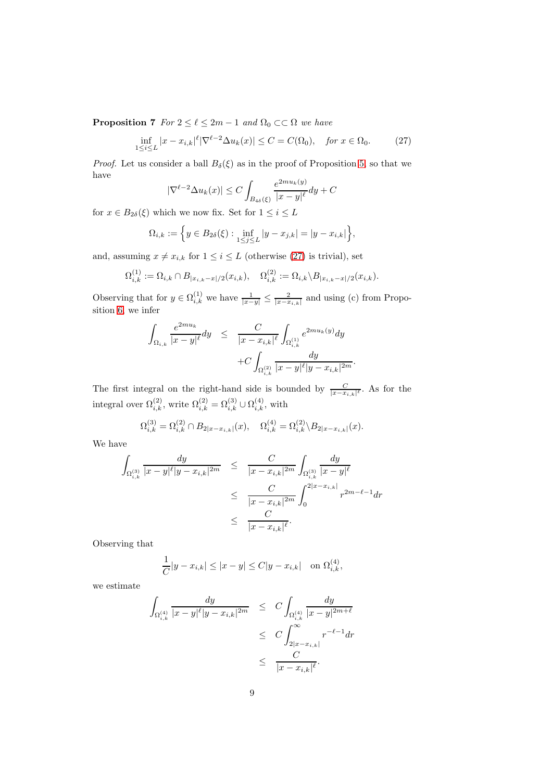**Proposition 7** For  $2 \leq \ell \leq 2m - 1$  and  $\Omega_0 \subset\subset \Omega$  we have

<span id="page-8-0"></span>
$$
\inf_{1 \le i \le L} |x - x_{i,k}|^\ell |\nabla^{\ell - 2} \Delta u_k(x)| \le C = C(\Omega_0), \quad \text{for } x \in \Omega_0. \tag{27}
$$

*Proof.* Let us consider a ball  $B_\delta(\xi)$  as in the proof of Proposition [5,](#page-5-0) so that we have

$$
|\nabla^{\ell-2} \Delta u_k(x)| \le C \int_{B_{4\delta}(\xi)} \frac{e^{2mu_k(y)}}{|x-y|^{\ell}} dy + C
$$

for  $x\in B_{2\delta}(\xi)$  which we now fix. Set for  $1\leq i\leq L$ 

$$
\Omega_{i,k} := \left\{ y \in B_{2\delta}(\xi) : \inf_{1 \le j \le L} |y - x_{j,k}| = |y - x_{i,k}| \right\},\
$$

and, assuming  $x \neq x_{i,k}$  for  $1 \leq i \leq L$  (otherwise [\(27\)](#page-8-0) is trivial), set

$$
\Omega_{i,k}^{(1)} := \Omega_{i,k} \cap B_{|x_{i,k} - x|/2}(x_{i,k}), \quad \Omega_{i,k}^{(2)} := \Omega_{i,k} \backslash B_{|x_{i,k} - x|/2}(x_{i,k}).
$$

Observing that for  $y \in \Omega_{i,k}^{(1)}$  we have  $\frac{1}{|x-y|} \leq \frac{2}{|x-x_{i,k}|}$  and using (c) from Proposition [6,](#page-6-0) we infer

$$
\int_{\Omega_{i,k}} \frac{e^{2mu_k}}{|x-y|^{\ell}} dy \leq \frac{C}{|x-x_{i,k}|^{\ell}} \int_{\Omega_{i,k}^{(1)}} e^{2mu_k(y)} dy + C \int_{\Omega_{i,k}^{(2)}} \frac{dy}{|x-y|^{\ell}|y-x_{i,k}|^{2m}}.
$$

The first integral on the right-hand side is bounded by  $\frac{C}{|x-x_{i,k}|^{\ell}}$ . As for the integral over  $\Omega_{i,k}^{(2)}$ , write  $\Omega_{i,k}^{(2)} = \Omega_{i,k}^{(3)} \cup \Omega_{i,k}^{(4)}$ , with

$$
\Omega_{i,k}^{(3)} = \Omega_{i,k}^{(2)} \cap B_{2|x-x_{i,k}|}(x), \quad \Omega_{i,k}^{(4)} = \Omega_{i,k}^{(2)} \setminus B_{2|x-x_{i,k}|}(x).
$$

We have

$$
\int_{\Omega_{i,k}^{(3)}} \frac{dy}{|x - y|^{\ell} |y - x_{i,k}|^{2m}} \leq \frac{C}{|x - x_{i,k}|^{2m}} \int_{\Omega_{i,k}^{(3)}} \frac{dy}{|x - y|^{\ell}} \leq \frac{C}{|x - x_{i,k}|^{2m}} \int_{0}^{2|x - x_{i,k}|} r^{2m - \ell - 1} dr \leq \frac{C}{|x - x_{i,k}|^{\ell}}.
$$

Observing that

$$
\frac{1}{C}|y - x_{i,k}| \le |x - y| \le C|y - x_{i,k}| \quad \text{on } \Omega_{i,k}^{(4)},
$$

we estimate

$$
\int_{\Omega_{i,k}^{(4)}} \frac{dy}{|x - y|^{\ell} |y - x_{i,k}|^{2m}} \leq C \int_{\Omega_{i,k}^{(4)}} \frac{dy}{|x - y|^{2m + \ell}} \n\leq C \int_{2|x - x_{i,k}|}^{\infty} r^{-\ell - 1} dr \n\leq \frac{C}{|x - x_{i,k}|^{\ell}}.
$$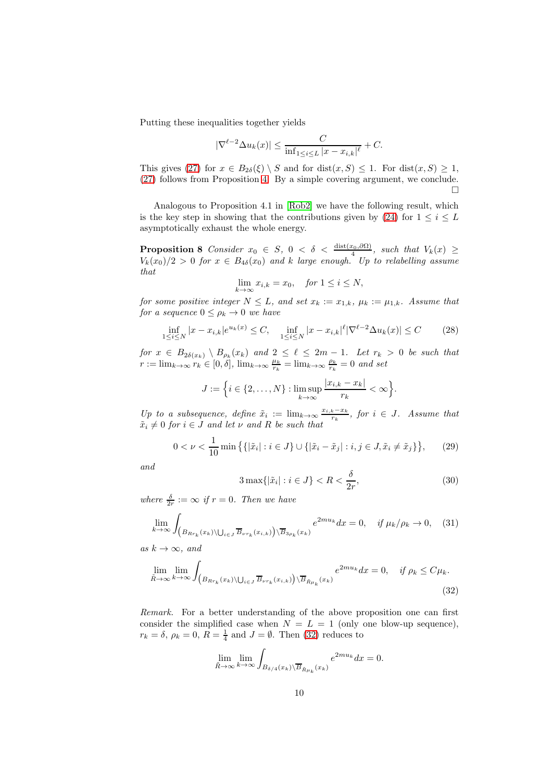Putting these inequalities together yields

$$
|\nabla^{\ell-2} \Delta u_k(x)| \leq \frac{C}{\inf_{1 \leq i \leq L} |x - x_{i,k}|^{\ell}} + C.
$$

This gives [\(27\)](#page-8-0) for  $x \in B_{2\delta}(\xi) \setminus S$  and for  $dist(x, S) \leq 1$ . For  $dist(x, S) \geq 1$ , [\(27\)](#page-8-0) follows from Proposition [4.](#page-5-1) By a simple covering argument, we conclude.  $\Box$ 

Analogous to Proposition 4.1 in [\[Rob2\]](#page-17-1) we have the following result, which is the key step in showing that the contributions given by [\(24\)](#page-6-2) for  $1 \leq i \leq L$ asymptotically exhaust the whole energy.

<span id="page-9-5"></span>**Proposition 8** Consider  $x_0 \in S$ ,  $0 < \delta < \frac{\text{dist}(x_0, \partial \Omega)}{4}$ , such that  $V_k(x) \geq$  $V_k(x_0)/2 > 0$  for  $x \in B_{4\delta}(x_0)$  and k large enough. Up to relabelling assume that

$$
\lim_{k \to \infty} x_{i,k} = x_0, \quad \text{for } 1 \le i \le N,
$$

for some positive integer  $N \leq L$ , and set  $x_k := x_{1,k}$ ,  $\mu_k := \mu_{1,k}$ . Assume that for a sequence  $0 \leq \rho_k \to 0$  we have

<span id="page-9-1"></span>
$$
\inf_{1 \le i \le N} |x - x_{i,k}| e^{u_k(x)} \le C, \quad \inf_{1 \le i \le N} |x - x_{i,k}|^\ell |\nabla^{\ell-2} \Delta u_k(x)| \le C \tag{28}
$$

for  $x \in B_{2\delta(x_k)} \setminus B_{\rho_k}(x_k)$  and  $2 \leq \ell \leq 2m-1$ . Let  $r_k > 0$  be such that  $r := \lim_{k \to \infty} r_k \in [0, \delta], \lim_{k \to \infty} \frac{\mu_k}{r_k} = \lim_{k \to \infty} \frac{\rho_k}{r_k} = 0$  and set

$$
J := \Big\{ i \in \{2, \ldots, N\} : \limsup_{k \to \infty} \frac{|x_{i,k} - x_k|}{r_k} < \infty \Big\}.
$$

Up to a subsequence, define  $\tilde{x}_i := \lim_{k \to \infty} \frac{x_{i,k} - x_k}{x_k}$  $\frac{k - x_k}{r_k}$ , for  $i \in J$ . Assume that  $\tilde{x}_i \neq 0$  for  $i \in J$  and let  $\nu$  and R be such that

<span id="page-9-3"></span>
$$
0 < \nu < \frac{1}{10} \min \left\{ \left\{ |\tilde{x}_i| : i \in J \right\} \cup \left\{ |\tilde{x}_i - \tilde{x}_j| : i, j \in J, \tilde{x}_i \neq \tilde{x}_j \right\} \right\},\tag{29}
$$

and

<span id="page-9-4"></span>
$$
3\max\{|\tilde{x}_i| : i \in J\} < R < \frac{\delta}{2r},\tag{30}
$$

where  $\frac{\delta}{2r} := \infty$  if  $r = 0$ . Then we have

<span id="page-9-2"></span>
$$
\lim_{k \to \infty} \int_{\left(B_{R r_k}(x_k) \setminus \bigcup_{i \in J} \overline{B}_{\nu r_k}(x_{i,k})\right) \setminus \overline{B}_{3\rho_k}(x_k)} e^{2m u_k} dx = 0, \quad \text{if } \mu_k/\rho_k \to 0,
$$
 (31)

as  $k \to \infty$ , and

<span id="page-9-0"></span>
$$
\lim_{\tilde{R}\to\infty} \lim_{k\to\infty} \int_{\left(B_{Rr_k}(x_k)\setminus\bigcup_{i\in J} \overline{B}_{\nu r_k}(x_{i,k})\right)\setminus\overline{B}_{\tilde{R}\mu_k}(x_k)} e^{2mu_k} dx = 0, \quad \text{if } \rho_k \le C\mu_k.
$$
\n(32)

Remark. For a better understanding of the above proposition one can first consider the simplified case when  $N = L = 1$  (only one blow-up sequence),  $r_k = \delta$ ,  $\rho_k = 0$ ,  $R = \frac{1}{4}$  and  $J = \emptyset$ . Then [\(32\)](#page-9-0) reduces to

$$
\lim_{\tilde{R}\to\infty}\lim_{k\to\infty}\int_{B_{\delta/4}(x_k)\setminus\overline{B}_{\tilde{R}\mu_k}(x_k)}e^{2mu_k}dx=0.
$$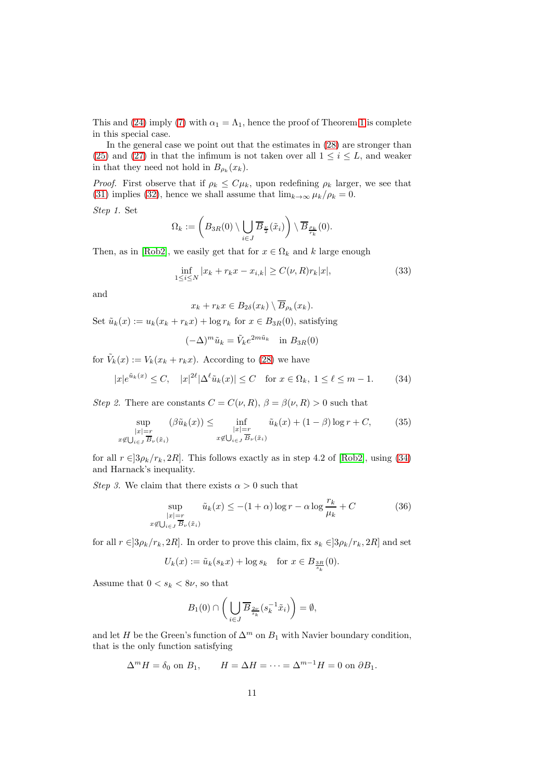This and [\(24\)](#page-6-2) imply [\(7\)](#page-2-2) with  $\alpha_1 = \Lambda_1$ , hence the proof of Theorem [1](#page-1-0) is complete in this special case.

In the general case we point out that the estimates in [\(28\)](#page-9-1) are stronger than [\(25\)](#page-7-1) and [\(27\)](#page-8-0) in that the infimum is not taken over all  $1 \leq i \leq L$ , and weaker in that they need not hold in  $B_{\rho_k}(x_k)$ .

*Proof.* First observe that if  $\rho_k \leq C\mu_k$ , upon redefining  $\rho_k$  larger, we see that [\(31\)](#page-9-2) implies [\(32\)](#page-9-0), hence we shall assume that  $\lim_{k\to\infty} \mu_k/\rho_k = 0$ .

Step 1. Set

$$
\Omega_k:=\left(B_{3R}(0)\setminus\bigcup_{i\in J}\overline{B}_{\frac{\nu}{2}}(\tilde{x}_i)\right)\setminus\overline{B}_{\frac{\rho_k}{r_k}}(0).
$$

Then, as in [\[Rob2\]](#page-17-1), we easily get that for  $x \in \Omega_k$  and k large enough

$$
\inf_{1 \le i \le N} |x_k + r_k x - x_{i,k}| \ge C(\nu, R) r_k |x|,
$$
\n(33)

and

$$
x_k + r_k x \in B_{2\delta}(x_k) \setminus \overline{B}_{\rho_k}(x_k).
$$

Set  $\tilde{u}_k(x) := u_k(x_k + r_k x) + \log r_k$  for  $x \in B_{3R}(0)$ , satisfying

$$
(-\Delta)^m \tilde{u}_k = \tilde{V}_k e^{2m\tilde{u}_k} \quad \text{in } B_{3R}(0)
$$

for  $\tilde{V}_k(x) := V_k(x_k + r_k x)$ . According to [\(28\)](#page-9-1) we have

<span id="page-10-0"></span>
$$
|x|e^{\tilde{u}_k(x)} \le C, \quad |x|^{2\ell} |\Delta^{\ell} \tilde{u}_k(x)| \le C \quad \text{for } x \in \Omega_k, \ 1 \le \ell \le m-1. \tag{34}
$$

Step 2. There are constants  $C = C(\nu, R)$ ,  $\beta = \beta(\nu, R) > 0$  such that

<span id="page-10-1"></span>
$$
\sup_{\substack{|x|=r\\x\not\in\bigcup_{i\in J}\overline{B}_{\nu}(\tilde{x}_{i})}}(\beta\tilde{u}_{k}(x)) \le \inf_{\substack{|x|=r\\x\not\in\bigcup_{i\in J}\overline{B}_{\nu}(\tilde{x}_{i})}}\tilde{u}_{k}(x) + (1-\beta)\log r + C,\tag{35}
$$

for all  $r \in ]3\rho_k/r_k, 2R]$ . This follows exactly as in step 4.2 of [\[Rob2\]](#page-17-1), using [\(34\)](#page-10-0) and Harnack's inequality.

Step 3. We claim that there exists  $\alpha > 0$  such that

<span id="page-10-2"></span>
$$
\sup_{\substack{|x|=r\\x\not\in\bigcup_{i\in J}\overline{B}_{\nu}(\tilde{x}_i)}}\tilde{u}_k(x)\leq -(1+\alpha)\log r-\alpha\log\frac{r_k}{\mu_k}+C
$$
\n(36)

for all  $r \in ]3\rho_k/r_k, 2R]$ . In order to prove this claim, fix  $s_k \in ]3\rho_k/r_k, 2R]$  and set

$$
U_k(x) := \tilde{u}_k(s_k x) + \log s_k \quad \text{for } x \in B_{\frac{3R}{s_k}}(0).
$$

Assume that  $0 < s_k < 8\nu$ , so that

$$
B_1(0) \cap \left(\bigcup_{i \in J} \overline{B}_{\frac{2\nu}{s_k}}(s_k^{-1}\tilde{x}_i)\right) = \emptyset,
$$

and let H be the Green's function of  $\Delta^m$  on  $B_1$  with Navier boundary condition, that is the only function satisfying

$$
\Delta^m H = \delta_0 \text{ on } B_1, \qquad H = \Delta H = \cdots = \Delta^{m-1} H = 0 \text{ on } \partial B_1.
$$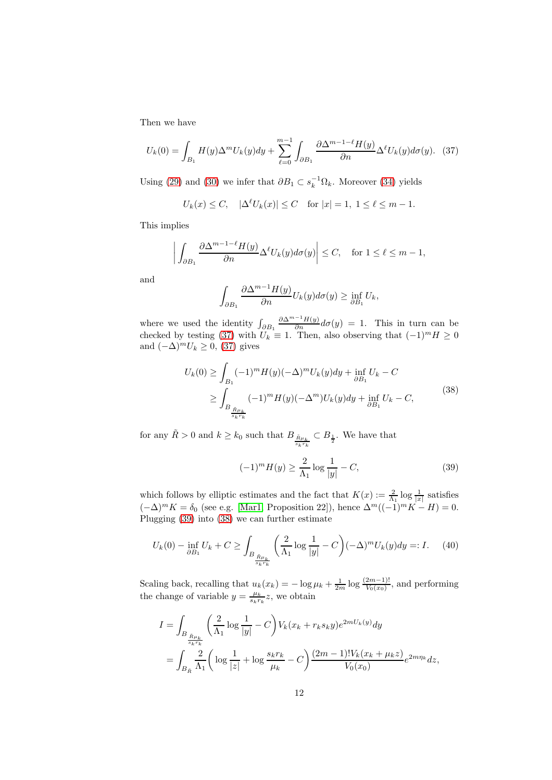Then we have

<span id="page-11-0"></span>
$$
U_k(0) = \int_{B_1} H(y) \Delta^m U_k(y) dy + \sum_{\ell=0}^{m-1} \int_{\partial B_1} \frac{\partial \Delta^{m-1-\ell} H(y)}{\partial n} \Delta^{\ell} U_k(y) d\sigma(y). \tag{37}
$$

Using [\(29\)](#page-9-3) and [\(30\)](#page-9-4) we infer that  $\partial B_1 \subset s_k^{-1} \Omega_k$ . Moreover [\(34\)](#page-10-0) yields

$$
U_k(x) \le C
$$
,  $|\Delta^{\ell} U_k(x)| \le C$  for  $|x| = 1, 1 \le \ell \le m - 1$ .

This implies

 $\overline{\phantom{a}}$  $\overline{\phantom{a}}$  $\overline{\phantom{a}}$  $\overline{\phantom{a}}$ 

$$
\left| \int_{\partial B_1} \frac{\partial \Delta^{m-1-\ell} H(y)}{\partial n} \Delta^{\ell} U_k(y) d\sigma(y) \right| \le C, \quad \text{for } 1 \le \ell \le m-1,
$$

and

$$
\int_{\partial B_1} \frac{\partial \Delta^{m-1} H(y)}{\partial n} U_k(y) d\sigma(y) \ge \inf_{\partial B_1} U_k,
$$

where we used the identity  $\int_{\partial B_1}$  $\frac{\partial \Delta^{m-1} H(y)}{\partial n} d\sigma(y) = 1$ . This in turn can be checked by testing [\(37\)](#page-11-0) with  $U_k \equiv 1$ . Then, also observing that  $(-1)^m H \ge 0$ and  $(-\Delta)^m U_k \geq 0$ , [\(37\)](#page-11-0) gives

$$
U_k(0) \ge \int_{B_1} (-1)^m H(y) (-\Delta)^m U_k(y) dy + \inf_{\partial B_1} U_k - C
$$
  
 
$$
\ge \int_{B_{\frac{\tilde{R}\mu_k}{s_k r_k}}} (-1)^m H(y) (-\Delta^m) U_k(y) dy + \inf_{\partial B_1} U_k - C,
$$
 (38)

<span id="page-11-2"></span>for any  $\tilde{R} > 0$  and  $k \geq k_0$  such that  $B_{\frac{\tilde{R}\mu_k}{s_k r_k}}$  $\subset B_{\frac{1}{2}}$ . We have that

<span id="page-11-1"></span>
$$
(-1)^m H(y) \ge \frac{2}{\Lambda_1} \log \frac{1}{|y|} - C,\tag{39}
$$

which follows by elliptic estimates and the fact that  $K(x) := \frac{2}{\Lambda_1} \log \frac{1}{|x|}$  satisfies  $(-\Delta)^m K = \delta_0$  (see e.g. [\[Mar1,](#page-17-0) Proposition 22]), hence  $\Delta^m ((-1)^m K - H) = 0$ . Plugging [\(39\)](#page-11-1) into [\(38\)](#page-11-2) we can further estimate

<span id="page-11-3"></span>
$$
U_k(0) - \inf_{\partial B_1} U_k + C \ge \int_{B_{\frac{\tilde{R}\mu_k}{s_k r_k}}} \left(\frac{2}{\Lambda_1} \log \frac{1}{|y|} - C\right) (-\Delta)^m U_k(y) dy =: I. \tag{40}
$$

Scaling back, recalling that  $u_k(x_k) = -\log \mu_k + \frac{1}{2m} \log \frac{(2m-1)!}{V_0(x_0)}$ , and performing the change of variable  $y = \frac{\mu_k}{s_k r_k} z$ , we obtain

$$
I = \int_{B_{\frac{\bar{R}\mu_k}{\bar{s}_k r_k}}} \left(\frac{2}{\Lambda_1} \log \frac{1}{|y|} - C\right) V_k(x_k + r_k s_k y) e^{2mU_k(y)} dy
$$
  
= 
$$
\int_{B_{\bar{R}}} \frac{2}{\Lambda_1} \left( \log \frac{1}{|z|} + \log \frac{s_k r_k}{\mu_k} - C \right) \frac{(2m-1)! V_k(x_k + \mu_k z)}{V_0(x_0)} e^{2m\eta_k} dz,
$$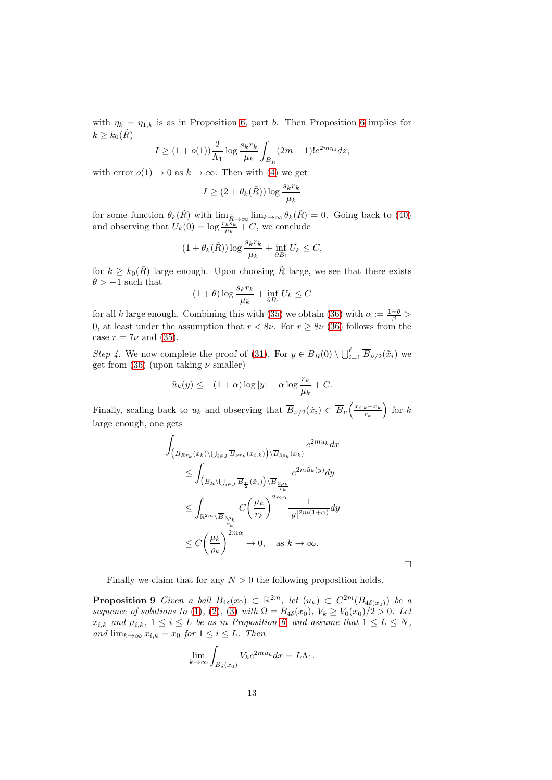with  $\eta_k = \eta_{1,k}$  is as in Proposition [6,](#page-6-0) part b. Then Proposition [6](#page-6-0) implies for  $k \geq k_0(R)$ 

$$
I \ge (1 + o(1)) \frac{2}{\Lambda_1} \log \frac{s_k r_k}{\mu_k} \int_{B_{\bar{R}}} (2m - 1)! e^{2m \eta_0} dz,
$$

with error  $o(1) \rightarrow 0$  as  $k \rightarrow \infty$ . Then with [\(4\)](#page-1-1) we get

$$
I \geq (2+\theta_k(\tilde{R})) \log \frac{s_k r_k}{\mu_k}
$$

for some function  $\theta_k(\tilde{R})$  with  $\lim_{\tilde{R}\to\infty} \lim_{k\to\infty} \theta_k(\tilde{R}) = 0$ . Going back to [\(40\)](#page-11-3) and observing that  $U_k(0) = \log \frac{r_k \tilde{s}_k}{\mu_k} + C$ , we conclude

$$
(1 + \theta_k(\tilde{R})) \log \frac{s_k r_k}{\mu_k} + \inf_{\partial B_1} U_k \le C,
$$

for  $k \geq k_0(\tilde{R})$  large enough. Upon choosing  $\tilde{R}$  large, we see that there exists  $\theta > -1$  such that

$$
(1+\theta)\log\frac{s_kr_k}{\mu_k} + \inf_{\partial B_1} U_k \le C
$$

for all k large enough. Combining this with [\(35\)](#page-10-1) we obtain [\(36\)](#page-10-2) with  $\alpha := \frac{1+\theta}{\beta} >$ 0, at least under the assumption that  $r < 8\nu$ . For  $r \ge 8\nu$  [\(36\)](#page-10-2) follows from the case  $r = 7\nu$  and [\(35\)](#page-10-1).

Step 4. We now complete the proof of [\(31\)](#page-9-2). For  $y \in B_R(0) \setminus \bigcup_{i=1}^{\ell} \overline{B}_{\nu/2}(\tilde{x}_i)$  we get from [\(36\)](#page-10-2) (upon taking  $\nu$  smaller)

$$
\tilde{u}_k(y) \le -(1+\alpha)\log|y| - \alpha\log\frac{r_k}{\mu_k} + C.
$$

Finally, scaling back to  $u_k$  and observing that  $\overline{B}_{\nu/2}(\tilde{x}_i) \subset \overline{B}_{\nu}\left(\frac{x_{i,k}-x_k}{r_k}\right)$  $\frac{k-x_k}{r_k}$  for  $k$ large enough, one gets

$$
\int_{\left(B_{R r_k}(x_k)\setminus\bigcup_{i\in J}\overline{B}_{\nu r_k}(x_{i,k})\right)\setminus\overline{B}_{3\rho_k}(x_k)} e^{2mu_k} dx
$$
\n
$$
\leq \int_{\left(B_R\setminus\bigcup_{i\in J}\overline{B}_{\frac{\nu}{2}}(\tilde{x}_i)\right)\setminus\overline{B}_{\frac{3\rho_k}{r_k}}} e^{2m\tilde{u}_k(y)} dy
$$
\n
$$
\leq \int_{\mathbb{R}^{2m}\setminus\overline{B}_{\frac{3\rho_k}{r_k}}} C\left(\frac{\mu_k}{r_k}\right)^{2m\alpha} \frac{1}{|y|^{2m(1+\alpha)}} dy
$$
\n
$$
\leq C\left(\frac{\mu_k}{\rho_k}\right)^{2m\alpha} \to 0, \quad \text{as } k \to \infty.
$$

 $\Box$ 

<span id="page-12-0"></span>Finally we claim that for any  $N > 0$  the following proposition holds.

**Proposition 9** Given a ball  $B_{4\delta}(x_0) \subset \mathbb{R}^{2m}$ , let  $(u_k) \subset C^{2m}(B_{4\delta(x_0)})$  be a sequence of solutions to [\(1\)](#page-0-0), [\(2\)](#page-0-2), [\(3\)](#page-0-1) with  $\Omega = B_{4\delta}(x_0)$ ,  $V_k \ge V_0(x_0)/2 > 0$ . Let  $x_{i,k}$  and  $\mu_{i,k}$ ,  $1 \leq i \leq L$  be as in Proposition [6,](#page-6-0) and assume that  $1 \leq L \leq N$ , and  $\lim_{k\to\infty} x_{i,k} = x_0$  for  $1 \leq i \leq L$ . Then

$$
\lim_{k \to \infty} \int_{B_{\delta}(x_0)} V_k e^{2mu_k} dx = L\Lambda_1.
$$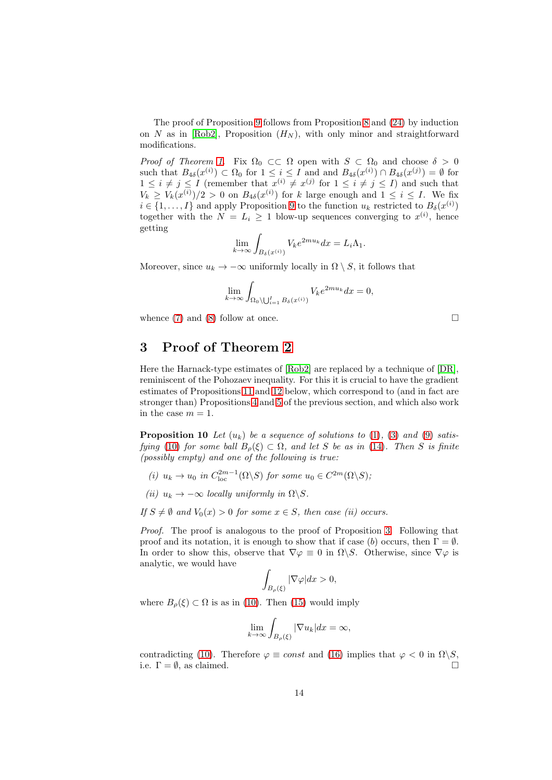The proof of Proposition [9](#page-12-0) follows from Proposition [8](#page-9-5) and [\(24\)](#page-6-2) by induction on N as in [\[Rob2\]](#page-17-1), Proposition  $(H_N)$ , with only minor and straightforward modifications.

*Proof of Theorem [1.](#page-1-0)* Fix  $\Omega_0 \subset\subset \Omega$  open with  $S \subset \Omega_0$  and choose  $\delta > 0$ such that  $B_{4\delta}(x^{(i)}) \subset \Omega_0$  for  $1 \leq i \leq I$  and and  $B_{4\delta}(x^{(i)}) \cap B_{4\delta}(x^{(j)}) = \emptyset$  for  $1 \leq i \neq j \leq I$  (remember that  $x^{(i)} \neq x^{(j)}$  for  $1 \leq i \neq j \leq I$ ) and such that  $V_k \geq V_k(x^{(i)})/2 > 0$  on  $B_{4\delta}(x^{(i)})$  for k large enough and  $1 \leq i \leq I$ . We fix  $i \in \{1, \ldots, I\}$  and apply Proposition [9](#page-12-0) to the function  $u_k$  restricted to  $B_\delta(x^{(i)})$ together with the  $N = L_i \geq 1$  blow-up sequences converging to  $x^{(i)}$ , hence getting

$$
\lim_{k \to \infty} \int_{B_{\delta}(x^{(i)})} V_k e^{2mu_k} dx = L_i \Lambda_1.
$$

Moreover, since  $u_k \to -\infty$  uniformly locally in  $\Omega \setminus S$ , it follows that

$$
\lim_{k \to \infty} \int_{\Omega_0 \setminus \bigcup_{i=1}^I B_\delta(x^{(i)})} V_k e^{2mu_k} dx = 0,
$$

whence  $(7)$  and  $(8)$  follow at once.

## <span id="page-13-0"></span>3 Proof of Theorem [2](#page-2-4)

Here the Harnack-type estimates of [\[Rob2\]](#page-17-1) are replaced by a technique of [\[DR\]](#page-16-4), reminiscent of the Pohozaev inequality. For this it is crucial to have the gradient estimates of Propositions [11](#page-14-1) and [12](#page-14-0) below, which correspond to (and in fact are stronger than) Propositions [4](#page-5-1) and [5](#page-5-0) of the previous section, and which also work in the case  $m = 1$ .

<span id="page-13-1"></span>**Proposition 10** Let  $(u_k)$  be a sequence of solutions to [\(1\)](#page-0-0), [\(3\)](#page-0-1) and [\(9\)](#page-3-1) satis-fying [\(10\)](#page-3-2) for some ball  $B_o(\xi) \subset \Omega$ , and let S be as in [\(14\)](#page-4-4). Then S is finite (possibly empty) and one of the following is true:

- (i)  $u_k \to u_0$  in  $C_{loc}^{2m-1}(\Omega \backslash S)$  for some  $u_0 \in C^{2m}(\Omega \backslash S)$ ;
- (ii)  $u_k \to -\infty$  locally uniformly in  $\Omega \backslash S$ .

If  $S \neq \emptyset$  and  $V_0(x) > 0$  for some  $x \in S$ , then case (ii) occurs.

Proof. The proof is analogous to the proof of Proposition [3.](#page-4-3) Following that proof and its notation, it is enough to show that if case (b) occurs, then  $\Gamma = \emptyset$ . In order to show this, observe that  $\nabla \varphi \equiv 0$  in  $\Omega \backslash S$ . Otherwise, since  $\nabla \varphi$  is analytic, we would have

$$
\int_{B_{\rho}(\xi)} |\nabla \varphi| dx > 0,
$$

where  $B_{\rho}(\xi) \subset \Omega$  is as in [\(10\)](#page-3-2). Then [\(15\)](#page-4-0) would imply

$$
\lim_{k \to \infty} \int_{B_{\rho}(\xi)} |\nabla u_k| dx = \infty,
$$

contradicting [\(10\)](#page-3-2). Therefore  $\varphi \equiv const$  and [\(16\)](#page-4-2) implies that  $\varphi < 0$  in  $\Omega \backslash S$ , i.e.  $\Gamma = \emptyset$ , as claimed.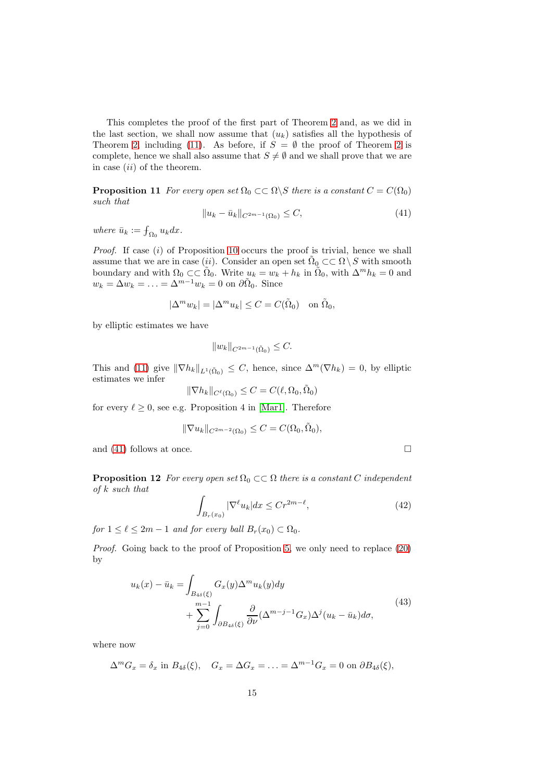This completes the proof of the first part of Theorem [2](#page-2-4) and, as we did in the last section, we shall now assume that  $(u_k)$  satisfies all the hypothesis of Theorem [2,](#page-2-4) including [\(11\)](#page-3-3). As before, if  $S = \emptyset$  the proof of Theorem [2](#page-2-4) is complete, hence we shall also assume that  $S \neq \emptyset$  and we shall prove that we are in case  $(ii)$  of the theorem.

<span id="page-14-1"></span>**Proposition 11** For every open set  $\Omega_0 \subset\subset \Omega \backslash S$  there is a constant  $C = C(\Omega_0)$ such that

<span id="page-14-2"></span>
$$
||u_k - \bar{u}_k||_{C^{2m-1}(\Omega_0)} \le C,\t\t(41)
$$

where  $\bar{u}_k := \int_{\Omega_0} u_k dx$ .

Proof. If case (i) of Proposition [10](#page-13-1) occurs the proof is trivial, hence we shall assume that we are in case (ii). Consider an open set  $\tilde{\Omega}_0 \subset\subset \Omega \setminus S$  with smooth boundary and with  $\Omega_0 \subset \subset \tilde{\Omega}_0$ . Write  $u_k = w_k + h_k$  in  $\tilde{\Omega}_0$ , with  $\Delta^m h_k = 0$  and  $w_k = \Delta w_k = \ldots = \Delta^{m-1} w_k = 0$  on  $\partial \tilde{\Omega}_0$ . Since

$$
|\Delta^m w_k| = |\Delta^m u_k| \le C = C(\tilde{\Omega}_0) \text{ on } \tilde{\Omega}_0,
$$

by elliptic estimates we have

$$
||w_k||_{C^{2m-1}(\tilde{\Omega}_0)} \leq C.
$$

This and [\(11\)](#page-3-3) give  $\|\nabla h_k\|_{L^1(\tilde{\Omega}_0)} \leq C$ , hence, since  $\Delta^m(\nabla h_k) = 0$ , by elliptic estimates we infer

$$
\|\nabla h_k\|_{C^{\ell}(\Omega_0)} \leq C = C(\ell, \Omega_0, \tilde{\Omega}_0)
$$

for every  $\ell \geq 0$ , see e.g. Proposition 4 in [\[Mar1\]](#page-17-0). Therefore

$$
\|\nabla u_k\|_{C^{2m-2}(\Omega_0)}\leq C=C(\Omega_0,\tilde{\Omega}_0),
$$

<span id="page-14-0"></span>and [\(41\)](#page-14-2) follows at once.  $\Box$ 

**Proposition 12** For every open set  $\Omega_0 \subset\subset \Omega$  there is a constant C independent  $of k such that$ 

$$
\int_{B_r(x_0)} |\nabla^{\ell} u_k| dx \le Cr^{2m-\ell},\tag{42}
$$

for  $1 \leq \ell \leq 2m-1$  and for every ball  $B_r(x_0) \subset \Omega_0$ .

Proof. Going back to the proof of Proposition [5,](#page-5-0) we only need to replace [\(20\)](#page-5-5) by

$$
u_k(x) - \bar{u}_k = \int_{B_{4\delta}(\xi)} G_x(y) \Delta^m u_k(y) dy
$$
  
+ 
$$
\sum_{j=0}^{m-1} \int_{\partial B_{4\delta}(\xi)} \frac{\partial}{\partial \nu} (\Delta^{m-j-1} G_x) \Delta^j (u_k - \bar{u}_k) d\sigma,
$$
 (43)

where now

$$
\Delta^m G_x = \delta_x \text{ in } B_{4\delta}(\xi), \quad G_x = \Delta G_x = \ldots = \Delta^{m-1} G_x = 0 \text{ on } \partial B_{4\delta}(\xi),
$$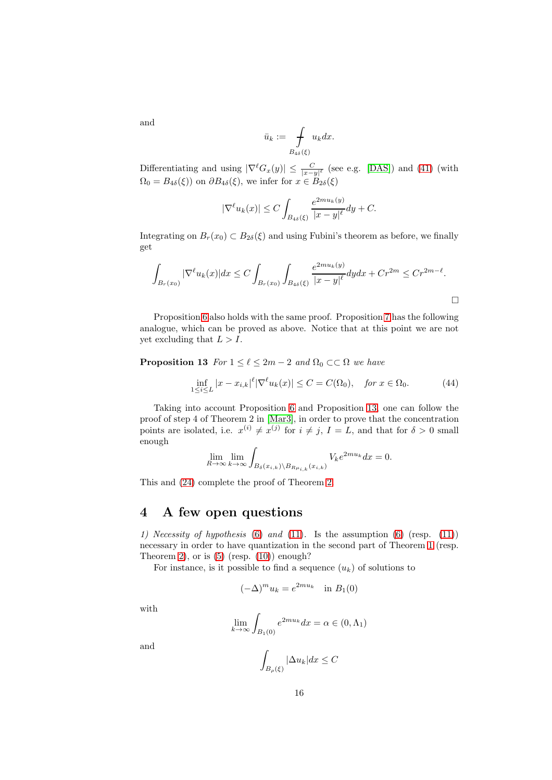$$
\bar{u}_k := \int\limits_{B_{4\delta}(\xi)} u_k dx.
$$

Differentiating and using  $|\nabla^{\ell}G_x(y)| \leq \frac{C}{|x-y|^{\ell}}$  (see e.g. [\[DAS\]](#page-16-8)) and [\(41\)](#page-14-2) (with  $\Omega_0 = B_{4\delta}(\xi)$  on  $\partial B_{4\delta}(\xi)$ , we infer for  $x \in B_{2\delta}(\xi)$ 

$$
|\nabla^{\ell}u_k(x)| \le C \int_{B_{4\delta}(\xi)} \frac{e^{2mu_k(y)}}{|x-y|^{\ell}} dy + C.
$$

Integrating on  $B_r(x_0) \subset B_{2\delta}(\xi)$  and using Fubini's theorem as before, we finally get

$$
\int_{B_r(x_0)} |\nabla^{\ell} u_k(x)| dx \le C \int_{B_r(x_0)} \int_{B_{4\delta}(\xi)} \frac{e^{2mu_k(y)}}{|x - y|^{\ell}} dy dx + Cr^{2m} \le Cr^{2m - \ell}.
$$

Proposition [6](#page-6-0) also holds with the same proof. Proposition [7](#page-7-0) has the following analogue, which can be proved as above. Notice that at this point we are not yet excluding that  $L > I$ .

<span id="page-15-0"></span>**Proposition 13** For  $1 \leq \ell \leq 2m-2$  and  $\Omega_0 \subset\subset \Omega$  we have

$$
\inf_{1 \le i \le L} |x - x_{i,k}|^\ell |\nabla^\ell u_k(x)| \le C = C(\Omega_0), \quad \text{for } x \in \Omega_0.
$$
 (44)

Taking into account Proposition [6](#page-6-0) and Proposition [13,](#page-15-0) one can follow the proof of step 4 of Theorem 2 in [\[Mar3\]](#page-17-2), in order to prove that the concentration points are isolated, i.e.  $x^{(i)} \neq x^{(j)}$  for  $i \neq j$ ,  $I = L$ , and that for  $\delta > 0$  small enough

$$
\lim_{R \to \infty} \lim_{k \to \infty} \int_{B_{\delta}(x_{i,k}) \setminus B_{R\mu_{i,k}}(x_{i,k})} V_k e^{2mu_k} dx = 0.
$$

This and [\(24\)](#page-6-2) complete the proof of Theorem [2.](#page-2-4)

### 4 A few open questions

1) Necessity of hypothesis [\(6\)](#page-2-1) and [\(11\)](#page-3-3). Is the assumption [\(6\)](#page-2-1) (resp.  $(11)$ ) necessary in order to have quantization in the second part of Theorem [1](#page-1-0) (resp. Theorem [2\)](#page-2-4), or is  $(5)$  (resp.  $(10)$ ) enough?

For instance, is it possible to find a sequence  $(u_k)$  of solutions to

$$
(-\Delta)^m u_k = e^{2mu_k} \quad \text{in } B_1(0)
$$

with

$$
\lim_{k \to \infty} \int_{B_1(0)} e^{2mu_k} dx = \alpha \in (0, \Lambda_1)
$$

and

$$
\int_{B_{\rho}(\xi)}|\Delta u_k|dx\leq C
$$

and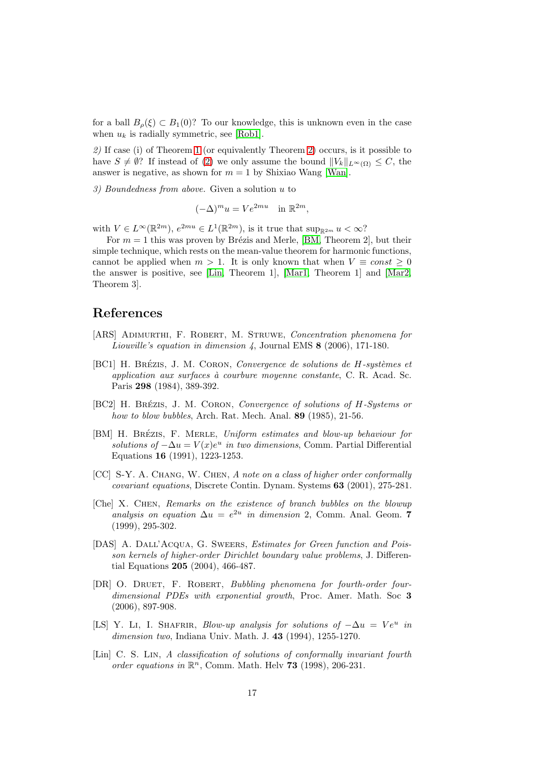for a ball  $B_{\rho}(\xi) \subset B_1(0)$ ? To our knowledge, this is unknown even in the case when  $u_k$  is radially symmetric, see [\[Rob1\]](#page-17-12).

2) If case (i) of Theorem [1](#page-1-0) (or equivalently Theorem [2\)](#page-2-4) occurs, is it possible to have  $S \neq \emptyset$ ? If instead of [\(2\)](#page-0-2) we only assume the bound  $||V_k||_{L^{\infty}(\Omega)} \leq C$ , the answer is negative, as shown for  $m = 1$  by Shixiao Wang [\[Wan\]](#page-17-13).

3) Boundedness from above. Given a solution u to

$$
(-\Delta)^m u = V e^{2mu} \quad \text{in } \mathbb{R}^{2m},
$$

with  $V \in L^{\infty}(\mathbb{R}^{2m})$ ,  $e^{2mu} \in L^{1}(\mathbb{R}^{2m})$ , is it true that  $\sup_{\mathbb{R}^{2m}} u < \infty$ ?

For  $m = 1$  this was proven by Brézis and Merle, [\[BM,](#page-16-0) Theorem 2], but their simple technique, which rests on the mean-value theorem for harmonic functions, cannot be applied when  $m > 1$ . It is only known that when  $V \equiv const > 0$ the answer is positive, see [\[Lin,](#page-16-9) Theorem 1], [\[Mar1,](#page-17-0) Theorem 1] and [\[Mar2,](#page-17-3) Theorem 3].

# References

- <span id="page-16-3"></span>[ARS] ADIMURTHI, F. ROBERT, M. STRUWE, Concentration phenomena for Liouville's equation in dimension 4, Journal EMS 8 (2006), 171-180.
- <span id="page-16-6"></span>[BC1] H. BRÉZIS, J. M. CORON, Convergence de solutions de H-systèmes et application aux surfaces à courbure moyenne constante, C. R. Acad. Sc. Paris 298 (1984), 389-392.
- <span id="page-16-7"></span>[BC2] H. BRÉZIS, J. M. CORON, Convergence of solutions of H-Systems or how to blow bubbles, Arch. Rat. Mech. Anal. 89 (1985), 21-56.
- <span id="page-16-0"></span>[BM] H. BRÉZIS, F. MERLE, Uniform estimates and blow-up behaviour for solutions of  $-\Delta u = V(x)e^u$  in two dimensions, Comm. Partial Differential Equations 16 (1991), 1223-1253.
- <span id="page-16-2"></span>[CC] S-Y. A. CHANG, W. CHEN, A note on a class of higher order conformally covariant equations, Discrete Contin. Dynam. Systems 63 (2001), 275-281.
- <span id="page-16-5"></span>[Che] X. Chen, Remarks on the existence of branch bubbles on the blowup analysis on equation  $\Delta u = e^{2u}$  in dimension 2, Comm. Anal. Geom. 7 (1999), 295-302.
- <span id="page-16-8"></span>[DAS] A. DALL'ACQUA, G. SWEERS, Estimates for Green function and Poisson kernels of higher-order Dirichlet boundary value problems, J. Differential Equations 205 (2004), 466-487.
- <span id="page-16-4"></span>[DR] O. DRUET, F. ROBERT, Bubbling phenomena for fourth-order fourdimensional PDEs with exponential growth, Proc. Amer. Math. Soc 3 (2006), 897-908.
- <span id="page-16-1"></span>[LS] Y. LI, I. SHAFRIR, Blow-up analysis for solutions of  $-\Delta u = Ve^u$  in dimension two, Indiana Univ. Math. J. 43 (1994), 1255-1270.
- <span id="page-16-9"></span>[Lin] C. S. Lin, A classification of solutions of conformally invariant fourth order equations in  $\mathbb{R}^n$ , Comm. Math. Helv **73** (1998), 206-231.